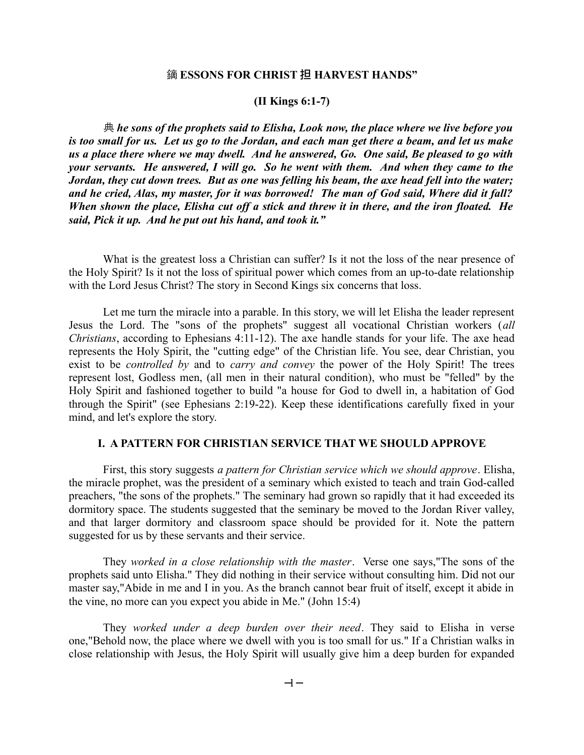## 鏑 **ESSONS FOR CHRIST** 担 **HARVEST HANDS"**

#### **(II Kings 6:1-7)**

典 *he sons of the prophets said to Elisha, Look now, the place where we live before you is too small for us. Let us go to the Jordan, and each man get there a beam, and let us make us a place there where we may dwell. And he answered, Go. One said, Be pleased to go with your servants. He answered, I will go. So he went with them. And when they came to the Jordan, they cut down trees. But as one was felling his beam, the axe head fell into the water; and he cried, Alas, my master, for it was borrowed! The man of God said, Where did it fall? When shown the place, Elisha cut off a stick and threw it in there, and the iron floated. He said, Pick it up. And he put out his hand, and took it."*

What is the greatest loss a Christian can suffer? Is it not the loss of the near presence of the Holy Spirit? Is it not the loss of spiritual power which comes from an up-to-date relationship with the Lord Jesus Christ? The story in Second Kings six concerns that loss.

Let me turn the miracle into a parable. In this story, we will let Elisha the leader represent Jesus the Lord. The "sons of the prophets" suggest all vocational Christian workers (*all Christians*, according to Ephesians 4:11-12). The axe handle stands for your life. The axe head represents the Holy Spirit, the "cutting edge" of the Christian life. You see, dear Christian, you exist to be *controlled by* and to *carry and convey* the power of the Holy Spirit! The trees represent lost, Godless men, (all men in their natural condition), who must be "felled" by the Holy Spirit and fashioned together to build "a house for God to dwell in, a habitation of God through the Spirit" (see Ephesians 2:19-22). Keep these identifications carefully fixed in your mind, and let's explore the story.

#### **I. A PATTERN FOR CHRISTIAN SERVICE THAT WE SHOULD APPROVE**

First, this story suggests *a pattern for Christian service which we should approve*. Elisha, the miracle prophet, was the president of a seminary which existed to teach and train God-called preachers, "the sons of the prophets." The seminary had grown so rapidly that it had exceeded its dormitory space. The students suggested that the seminary be moved to the Jordan River valley, and that larger dormitory and classroom space should be provided for it. Note the pattern suggested for us by these servants and their service.

They *worked in a close relationship with the master*. Verse one says,"The sons of the prophets said unto Elisha." They did nothing in their service without consulting him. Did not our master say,"Abide in me and I in you. As the branch cannot bear fruit of itself, except it abide in the vine, no more can you expect you abide in Me." (John 15:4)

They *worked under a deep burden over their need*. They said to Elisha in verse one,"Behold now, the place where we dwell with you is too small for us." If a Christian walks in close relationship with Jesus, the Holy Spirit will usually give him a deep burden for expanded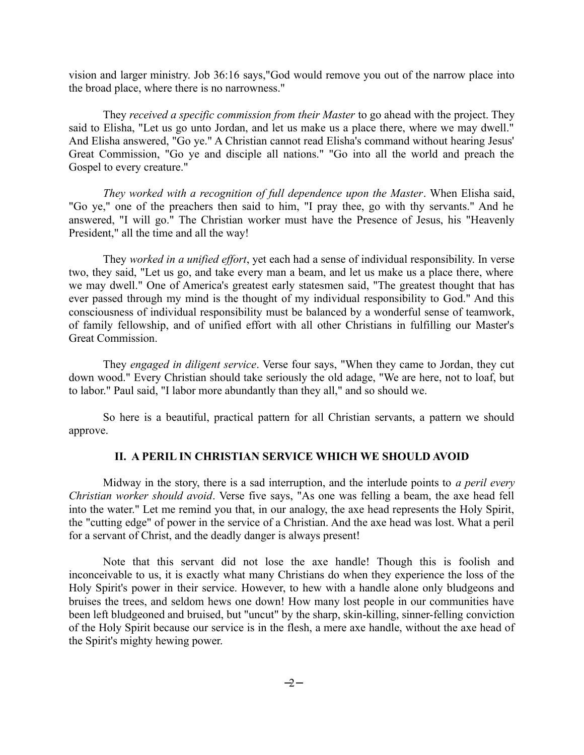vision and larger ministry. Job 36:16 says,"God would remove you out of the narrow place into the broad place, where there is no narrowness."

They *received a specific commission from their Master* to go ahead with the project. They said to Elisha, "Let us go unto Jordan, and let us make us a place there, where we may dwell." And Elisha answered, "Go ye." A Christian cannot read Elisha's command without hearing Jesus' Great Commission, "Go ye and disciple all nations." "Go into all the world and preach the Gospel to every creature."

*They worked with a recognition of full dependence upon the Master*. When Elisha said, "Go ye," one of the preachers then said to him, "I pray thee, go with thy servants." And he answered, "I will go." The Christian worker must have the Presence of Jesus, his "Heavenly President," all the time and all the way!

They *worked in a unified effort*, yet each had a sense of individual responsibility. In verse two, they said, "Let us go, and take every man a beam, and let us make us a place there, where we may dwell." One of America's greatest early statesmen said, "The greatest thought that has ever passed through my mind is the thought of my individual responsibility to God." And this consciousness of individual responsibility must be balanced by a wonderful sense of teamwork, of family fellowship, and of unified effort with all other Christians in fulfilling our Master's Great Commission.

They *engaged in diligent service*. Verse four says, "When they came to Jordan, they cut down wood." Every Christian should take seriously the old adage, "We are here, not to loaf, but to labor." Paul said, "I labor more abundantly than they all," and so should we.

So here is a beautiful, practical pattern for all Christian servants, a pattern we should approve.

# **II. A PERIL IN CHRISTIAN SERVICE WHICH WE SHOULD AVOID**

Midway in the story, there is a sad interruption, and the interlude points to *a peril every Christian worker should avoid*. Verse five says, "As one was felling a beam, the axe head fell into the water." Let me remind you that, in our analogy, the axe head represents the Holy Spirit, the "cutting edge" of power in the service of a Christian. And the axe head was lost. What a peril for a servant of Christ, and the deadly danger is always present!

Note that this servant did not lose the axe handle! Though this is foolish and inconceivable to us, it is exactly what many Christians do when they experience the loss of the Holy Spirit's power in their service. However, to hew with a handle alone only bludgeons and bruises the trees, and seldom hews one down! How many lost people in our communities have been left bludgeoned and bruised, but "uncut" by the sharp, skin-killing, sinner-felling conviction of the Holy Spirit because our service is in the flesh, a mere axe handle, without the axe head of the Spirit's mighty hewing power.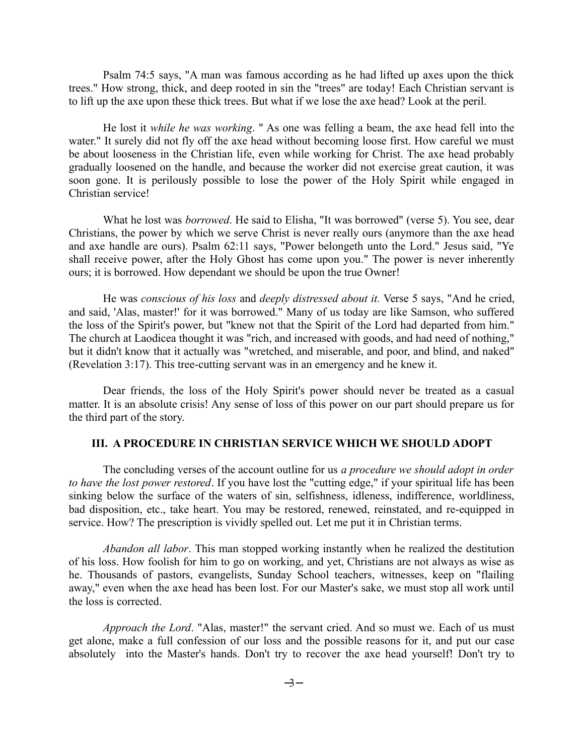Psalm 74:5 says, "A man was famous according as he had lifted up axes upon the thick trees." How strong, thick, and deep rooted in sin the "trees" are today! Each Christian servant is to lift up the axe upon these thick trees. But what if we lose the axe head? Look at the peril.

He lost it *while he was working*. " As one was felling a beam, the axe head fell into the water." It surely did not fly off the axe head without becoming loose first. How careful we must be about looseness in the Christian life, even while working for Christ. The axe head probably gradually loosened on the handle, and because the worker did not exercise great caution, it was soon gone. It is perilously possible to lose the power of the Holy Spirit while engaged in Christian service!

What he lost was *borrowed*. He said to Elisha, "It was borrowed" (verse 5). You see, dear Christians, the power by which we serve Christ is never really ours (anymore than the axe head and axe handle are ours). Psalm 62:11 says, "Power belongeth unto the Lord." Jesus said, "Ye shall receive power, after the Holy Ghost has come upon you." The power is never inherently ours; it is borrowed. How dependant we should be upon the true Owner!

He was *conscious of his loss* and *deeply distressed about it.* Verse 5 says, "And he cried, and said, 'Alas, master!' for it was borrowed." Many of us today are like Samson, who suffered the loss of the Spirit's power, but "knew not that the Spirit of the Lord had departed from him." The church at Laodicea thought it was "rich, and increased with goods, and had need of nothing," but it didn't know that it actually was "wretched, and miserable, and poor, and blind, and naked" (Revelation 3:17). This tree-cutting servant was in an emergency and he knew it.

Dear friends, the loss of the Holy Spirit's power should never be treated as a casual matter. It is an absolute crisis! Any sense of loss of this power on our part should prepare us for the third part of the story.

#### **III. A PROCEDURE IN CHRISTIAN SERVICE WHICH WE SHOULD ADOPT**

The concluding verses of the account outline for us *a procedure we should adopt in order to have the lost power restored*. If you have lost the "cutting edge," if your spiritual life has been sinking below the surface of the waters of sin, selfishness, idleness, indifference, worldliness, bad disposition, etc., take heart. You may be restored, renewed, reinstated, and re-equipped in service. How? The prescription is vividly spelled out. Let me put it in Christian terms.

*Abandon all labor*. This man stopped working instantly when he realized the destitution of his loss. How foolish for him to go on working, and yet, Christians are not always as wise as he. Thousands of pastors, evangelists, Sunday School teachers, witnesses, keep on "flailing away," even when the axe head has been lost. For our Master's sake, we must stop all work until the loss is corrected.

*Approach the Lord*. "Alas, master!" the servant cried. And so must we. Each of us must get alone, make a full confession of our loss and the possible reasons for it, and put our case absolutely into the Master's hands. Don't try to recover the axe head yourself! Don't try to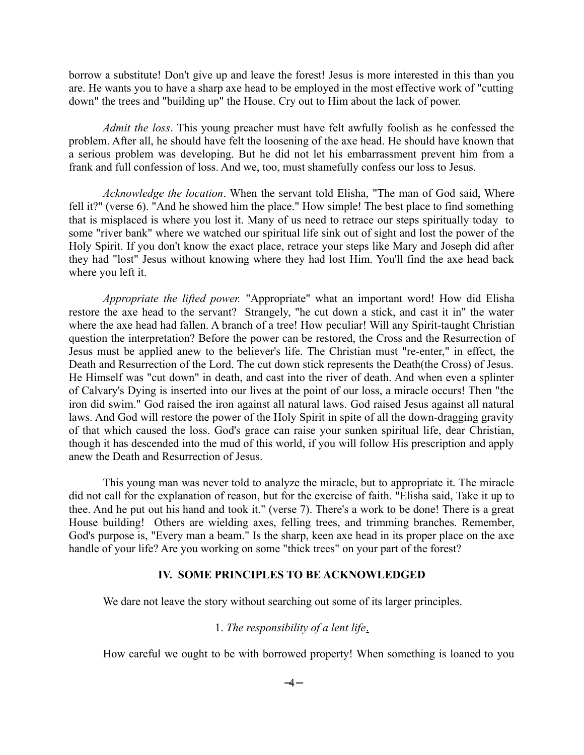borrow a substitute! Don't give up and leave the forest! Jesus is more interested in this than you are. He wants you to have a sharp axe head to be employed in the most effective work of "cutting down" the trees and "building up" the House. Cry out to Him about the lack of power.

*Admit the loss*. This young preacher must have felt awfully foolish as he confessed the problem. After all, he should have felt the loosening of the axe head. He should have known that a serious problem was developing. But he did not let his embarrassment prevent him from a frank and full confession of loss. And we, too, must shamefully confess our loss to Jesus.

*Acknowledge the location*. When the servant told Elisha, "The man of God said, Where fell it?" (verse 6). "And he showed him the place." How simple! The best place to find something that is misplaced is where you lost it. Many of us need to retrace our steps spiritually today to some "river bank" where we watched our spiritual life sink out of sight and lost the power of the Holy Spirit. If you don't know the exact place, retrace your steps like Mary and Joseph did after they had "lost" Jesus without knowing where they had lost Him. You'll find the axe head back where you left it.

*Appropriate the lifted power.* "Appropriate" what an important word! How did Elisha restore the axe head to the servant? Strangely, "he cut down a stick, and cast it in" the water where the axe head had fallen. A branch of a tree! How peculiar! Will any Spirit-taught Christian question the interpretation? Before the power can be restored, the Cross and the Resurrection of Jesus must be applied anew to the believer's life. The Christian must "re-enter," in effect, the Death and Resurrection of the Lord. The cut down stick represents the Death(the Cross) of Jesus. He Himself was "cut down" in death, and cast into the river of death. And when even a splinter of Calvary's Dying is inserted into our lives at the point of our loss, a miracle occurs! Then "the iron did swim." God raised the iron against all natural laws. God raised Jesus against all natural laws. And God will restore the power of the Holy Spirit in spite of all the down-dragging gravity of that which caused the loss. God's grace can raise your sunken spiritual life, dear Christian, though it has descended into the mud of this world, if you will follow His prescription and apply anew the Death and Resurrection of Jesus.

This young man was never told to analyze the miracle, but to appropriate it. The miracle did not call for the explanation of reason, but for the exercise of faith. "Elisha said, Take it up to thee. And he put out his hand and took it." (verse 7). There's a work to be done! There is a great House building! Others are wielding axes, felling trees, and trimming branches. Remember, God's purpose is, "Every man a beam." Is the sharp, keen axe head in its proper place on the axe handle of your life? Are you working on some "thick trees" on your part of the forest?

#### **IV. SOME PRINCIPLES TO BE ACKNOWLEDGED**

We dare not leave the story without searching out some of its larger principles.

# 1. *The responsibility of a lent life*.

How careful we ought to be with borrowed property! When something is loaned to you